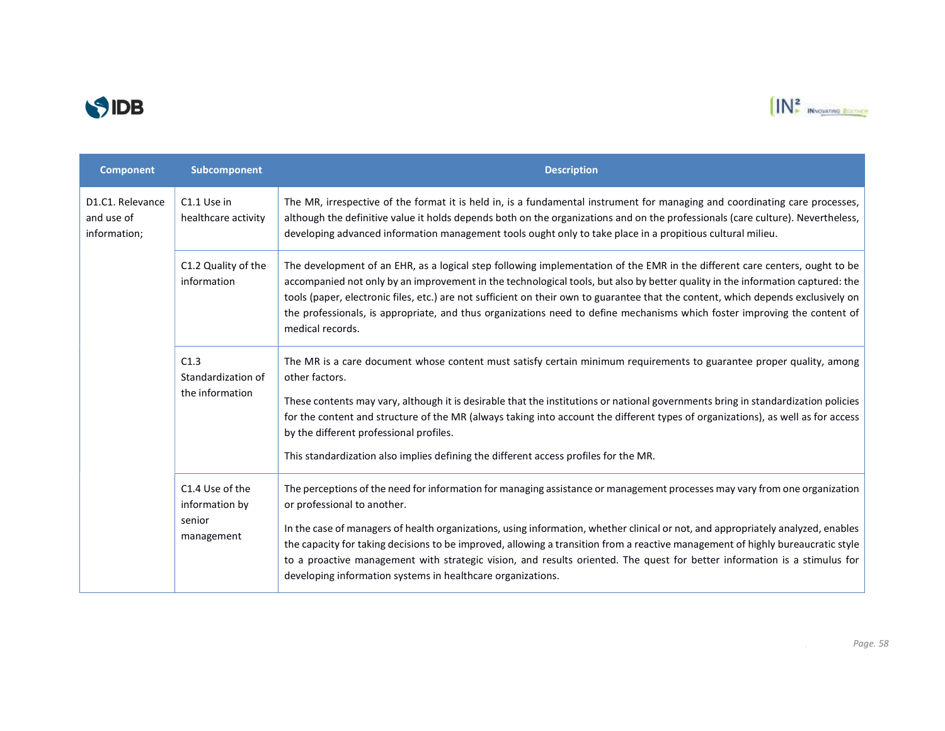



| <b>Component</b>                               | Subcomponent                                              | <b>Description</b>                                                                                                                                                                                                                                                                                                                                                                                                                                                                                                                                  |
|------------------------------------------------|-----------------------------------------------------------|-----------------------------------------------------------------------------------------------------------------------------------------------------------------------------------------------------------------------------------------------------------------------------------------------------------------------------------------------------------------------------------------------------------------------------------------------------------------------------------------------------------------------------------------------------|
| D1.C1. Relevance<br>and use of<br>information; | C1.1 Use in<br>healthcare activity                        | The MR, irrespective of the format it is held in, is a fundamental instrument for managing and coordinating care processes,<br>although the definitive value it holds depends both on the organizations and on the professionals (care culture). Nevertheless,<br>developing advanced information management tools ought only to take place in a propitious cultural milieu.                                                                                                                                                                        |
|                                                | C1.2 Quality of the<br>information                        | The development of an EHR, as a logical step following implementation of the EMR in the different care centers, ought to be<br>accompanied not only by an improvement in the technological tools, but also by better quality in the information captured: the<br>tools (paper, electronic files, etc.) are not sufficient on their own to guarantee that the content, which depends exclusively on<br>the professionals, is appropriate, and thus organizations need to define mechanisms which foster improving the content of<br>medical records. |
|                                                | C1.3<br>Standardization of<br>the information             | The MR is a care document whose content must satisfy certain minimum requirements to guarantee proper quality, among<br>other factors.<br>These contents may vary, although it is desirable that the institutions or national governments bring in standardization policies                                                                                                                                                                                                                                                                         |
|                                                |                                                           | for the content and structure of the MR (always taking into account the different types of organizations), as well as for access<br>by the different professional profiles.                                                                                                                                                                                                                                                                                                                                                                         |
|                                                |                                                           | This standardization also implies defining the different access profiles for the MR.                                                                                                                                                                                                                                                                                                                                                                                                                                                                |
|                                                | C1.4 Use of the<br>information by<br>senior<br>management | The perceptions of the need for information for managing assistance or management processes may vary from one organization<br>or professional to another.                                                                                                                                                                                                                                                                                                                                                                                           |
|                                                |                                                           | In the case of managers of health organizations, using information, whether clinical or not, and appropriately analyzed, enables<br>the capacity for taking decisions to be improved, allowing a transition from a reactive management of highly bureaucratic style<br>to a proactive management with strategic vision, and results oriented. The quest for better information is a stimulus for<br>developing information systems in healthcare organizations.                                                                                     |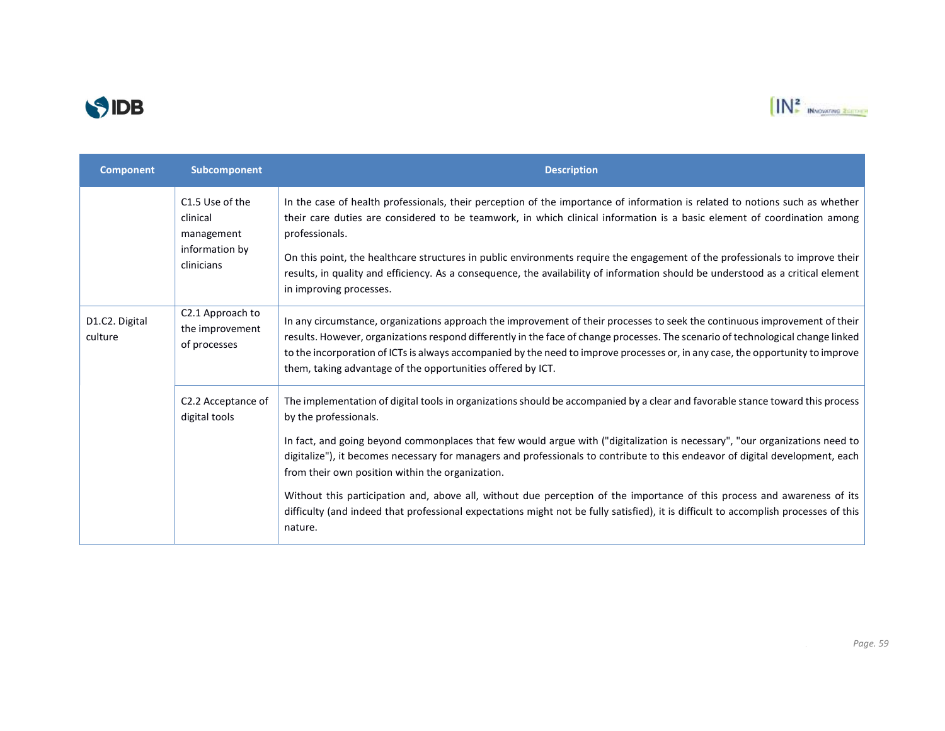



| <b>Component</b>          | Subcomponent                                                              | <b>Description</b>                                                                                                                                                                                                                                                                                                                                                                                                                                                                                                                                                                                                                                                                                                                                         |
|---------------------------|---------------------------------------------------------------------------|------------------------------------------------------------------------------------------------------------------------------------------------------------------------------------------------------------------------------------------------------------------------------------------------------------------------------------------------------------------------------------------------------------------------------------------------------------------------------------------------------------------------------------------------------------------------------------------------------------------------------------------------------------------------------------------------------------------------------------------------------------|
|                           | C1.5 Use of the<br>clinical<br>management<br>information by<br>clinicians | In the case of health professionals, their perception of the importance of information is related to notions such as whether<br>their care duties are considered to be teamwork, in which clinical information is a basic element of coordination among<br>professionals.<br>On this point, the healthcare structures in public environments require the engagement of the professionals to improve their<br>results, in quality and efficiency. As a consequence, the availability of information should be understood as a critical element<br>in improving processes.                                                                                                                                                                                   |
| D1.C2. Digital<br>culture | C2.1 Approach to<br>the improvement<br>of processes                       | In any circumstance, organizations approach the improvement of their processes to seek the continuous improvement of their<br>results. However, organizations respond differently in the face of change processes. The scenario of technological change linked<br>to the incorporation of ICTs is always accompanied by the need to improve processes or, in any case, the opportunity to improve<br>them, taking advantage of the opportunities offered by ICT.                                                                                                                                                                                                                                                                                           |
|                           | C2.2 Acceptance of<br>digital tools                                       | The implementation of digital tools in organizations should be accompanied by a clear and favorable stance toward this process<br>by the professionals.<br>In fact, and going beyond commonplaces that few would argue with ("digitalization is necessary", "our organizations need to<br>digitalize"), it becomes necessary for managers and professionals to contribute to this endeavor of digital development, each<br>from their own position within the organization.<br>Without this participation and, above all, without due perception of the importance of this process and awareness of its<br>difficulty (and indeed that professional expectations might not be fully satisfied), it is difficult to accomplish processes of this<br>nature. |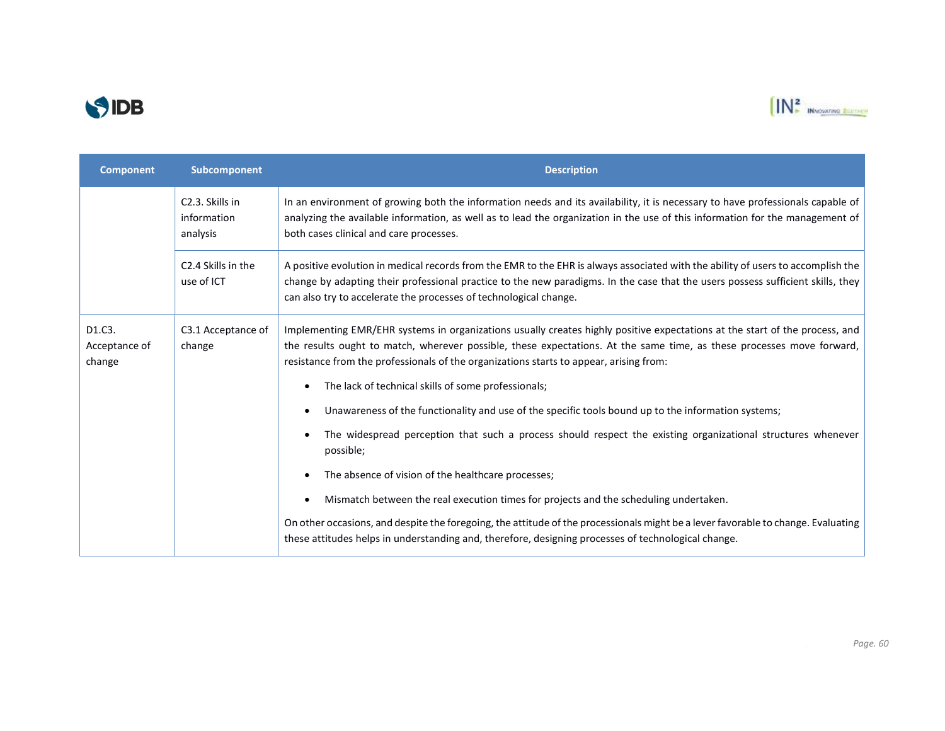



| <b>Component</b>                  | Subcomponent                                            | <b>Description</b>                                                                                                                                                                                                                                                                                                                                                                                                                  |
|-----------------------------------|---------------------------------------------------------|-------------------------------------------------------------------------------------------------------------------------------------------------------------------------------------------------------------------------------------------------------------------------------------------------------------------------------------------------------------------------------------------------------------------------------------|
|                                   | C <sub>2</sub> .3. Skills in<br>information<br>analysis | In an environment of growing both the information needs and its availability, it is necessary to have professionals capable of<br>analyzing the available information, as well as to lead the organization in the use of this information for the management of<br>both cases clinical and care processes.                                                                                                                          |
|                                   | C <sub>2</sub> .4 Skills in the<br>use of ICT           | A positive evolution in medical records from the EMR to the EHR is always associated with the ability of users to accomplish the<br>change by adapting their professional practice to the new paradigms. In the case that the users possess sufficient skills, they<br>can also try to accelerate the processes of technological change.                                                                                            |
| D1.C3.<br>Acceptance of<br>change | C3.1 Acceptance of<br>change                            | Implementing EMR/EHR systems in organizations usually creates highly positive expectations at the start of the process, and<br>the results ought to match, wherever possible, these expectations. At the same time, as these processes move forward,<br>resistance from the professionals of the organizations starts to appear, arising from:<br>The lack of technical skills of some professionals;<br>$\bullet$                  |
|                                   |                                                         | Unawareness of the functionality and use of the specific tools bound up to the information systems;<br>$\bullet$<br>The widespread perception that such a process should respect the existing organizational structures whenever<br>$\bullet$<br>possible;<br>The absence of vision of the healthcare processes;<br>$\bullet$<br>Mismatch between the real execution times for projects and the scheduling undertaken.<br>$\bullet$ |
|                                   |                                                         | On other occasions, and despite the foregoing, the attitude of the processionals might be a lever favorable to change. Evaluating<br>these attitudes helps in understanding and, therefore, designing processes of technological change.                                                                                                                                                                                            |